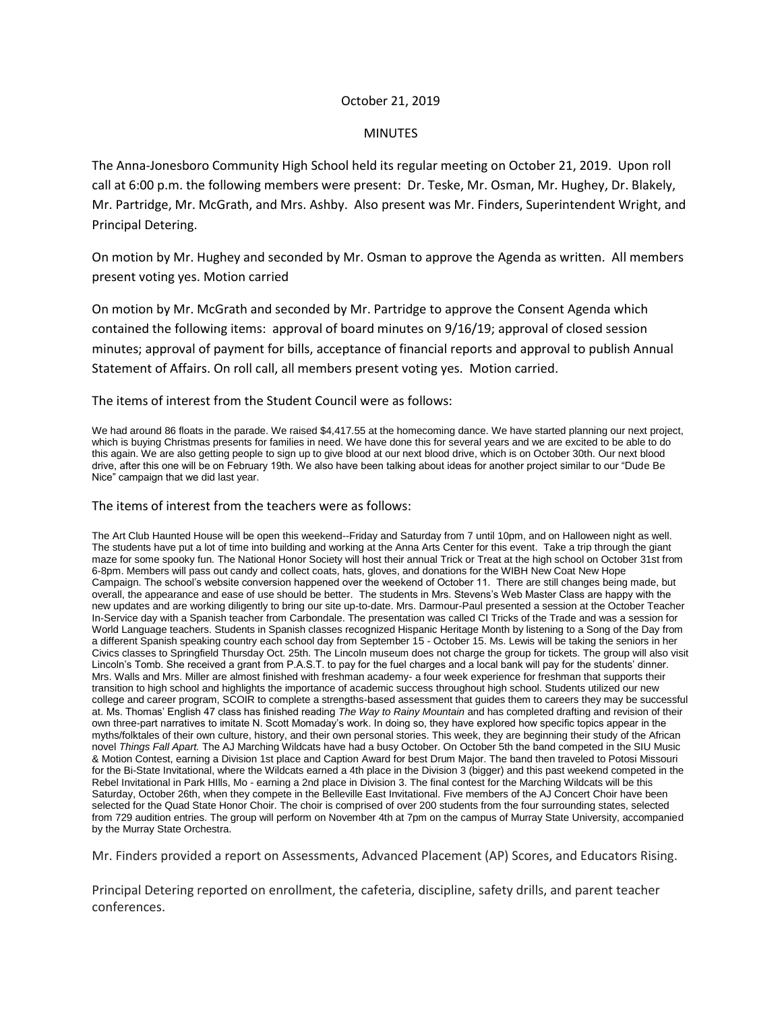## October 21, 2019

## MINUTES

The Anna-Jonesboro Community High School held its regular meeting on October 21, 2019. Upon roll call at 6:00 p.m. the following members were present: Dr. Teske, Mr. Osman, Mr. Hughey, Dr. Blakely, Mr. Partridge, Mr. McGrath, and Mrs. Ashby. Also present was Mr. Finders, Superintendent Wright, and Principal Detering.

On motion by Mr. Hughey and seconded by Mr. Osman to approve the Agenda as written. All members present voting yes. Motion carried

On motion by Mr. McGrath and seconded by Mr. Partridge to approve the Consent Agenda which contained the following items: approval of board minutes on 9/16/19; approval of closed session minutes; approval of payment for bills, acceptance of financial reports and approval to publish Annual Statement of Affairs. On roll call, all members present voting yes. Motion carried.

The items of interest from the Student Council were as follows:

We had around 86 floats in the parade. We raised \$4,417.55 at the homecoming dance. We have started planning our next project, which is buying Christmas presents for families in need. We have done this for several years and we are excited to be able to do this again. We are also getting people to sign up to give blood at our next blood drive, which is on October 30th. Our next blood drive, after this one will be on February 19th. We also have been talking about ideas for another project similar to our "Dude Be Nice" campaign that we did last year.

The items of interest from the teachers were as follows:

The Art Club Haunted House will be open this weekend--Friday and Saturday from 7 until 10pm, and on Halloween night as well. The students have put a lot of time into building and working at the Anna Arts Center for this event. Take a trip through the giant maze for some spooky fun. The National Honor Society will host their annual Trick or Treat at the high school on October 31st from 6-8pm. Members will pass out candy and collect coats, hats, gloves, and donations for the WIBH New Coat New Hope Campaign. The school's website conversion happened over the weekend of October 11. There are still changes being made, but overall, the appearance and ease of use should be better. The students in Mrs. Stevens's Web Master Class are happy with the new updates and are working diligently to bring our site up-to-date. Mrs. Darmour-Paul presented a session at the October Teacher In-Service day with a Spanish teacher from Carbondale. The presentation was called CI Tricks of the Trade and was a session for World Language teachers. Students in Spanish classes recognized Hispanic Heritage Month by listening to a Song of the Day from a different Spanish speaking country each school day from September 15 - October 15. Ms. Lewis will be taking the seniors in her Civics classes to Springfield Thursday Oct. 25th. The Lincoln museum does not charge the group for tickets. The group will also visit Lincoln's Tomb. She received a grant from P.A.S.T. to pay for the fuel charges and a local bank will pay for the students' dinner. Mrs. Walls and Mrs. Miller are almost finished with freshman academy- a four week experience for freshman that supports their transition to high school and highlights the importance of academic success throughout high school. Students utilized our new college and career program, SCOIR to complete a strengths-based assessment that guides them to careers they may be successful at. Ms. Thomas' English 47 class has finished reading *The Way to Rainy Mountain* and has completed drafting and revision of their own three-part narratives to imitate N. Scott Momaday's work. In doing so, they have explored how specific topics appear in the myths/folktales of their own culture, history, and their own personal stories. This week, they are beginning their study of the African novel *Things Fall Apart.* The AJ Marching Wildcats have had a busy October. On October 5th the band competed in the SIU Music & Motion Contest, earning a Division 1st place and Caption Award for best Drum Major. The band then traveled to Potosi Missouri for the Bi-State Invitational, where the Wildcats earned a 4th place in the Division 3 (bigger) and this past weekend competed in the Rebel Invitational in Park HIlls, Mo - earning a 2nd place in Division 3. The final contest for the Marching Wildcats will be this Saturday, October 26th, when they compete in the Belleville East Invitational. Five members of the AJ Concert Choir have been selected for the Quad State Honor Choir. The choir is comprised of over 200 students from the four surrounding states, selected from 729 audition entries. The group will perform on November 4th at 7pm on the campus of Murray State University, accompanied by the Murray State Orchestra.

Mr. Finders provided a report on Assessments, Advanced Placement (AP) Scores, and Educators Rising.

Principal Detering reported on enrollment, the cafeteria, discipline, safety drills, and parent teacher conferences.